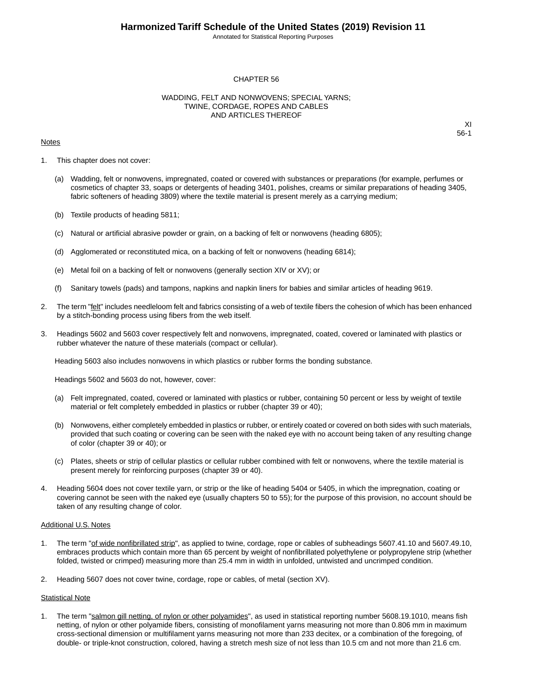Annotated for Statistical Reporting Purposes

## CHAPTER 56

## WADDING, FELT AND NONWOVENS; SPECIAL YARNS; TWINE, CORDAGE, ROPES AND CABLES AND ARTICLES THEREOF

### **Notes**

XI 56-1

- 1. This chapter does not cover:
	- (a) Wadding, felt or nonwovens, impregnated, coated or covered with substances or preparations (for example, perfumes or cosmetics of chapter 33, soaps or detergents of heading 3401, polishes, creams or similar preparations of heading 3405, fabric softeners of heading 3809) where the textile material is present merely as a carrying medium;
	- (b) Textile products of heading 5811;
	- (c) Natural or artificial abrasive powder or grain, on a backing of felt or nonwovens (heading 6805);
	- (d) Agglomerated or reconstituted mica, on a backing of felt or nonwovens (heading 6814);
	- (e) Metal foil on a backing of felt or nonwovens (generally section XIV or XV); or
	- (f) Sanitary towels (pads) and tampons, napkins and napkin liners for babies and similar articles of heading 9619.
- 2. The term "felt" includes needleloom felt and fabrics consisting of a web of textile fibers the cohesion of which has been enhanced by a stitch-bonding process using fibers from the web itself.
- 3. Headings 5602 and 5603 cover respectively felt and nonwovens, impregnated, coated, covered or laminated with plastics or rubber whatever the nature of these materials (compact or cellular).

Heading 5603 also includes nonwovens in which plastics or rubber forms the bonding substance.

Headings 5602 and 5603 do not, however, cover:

- (a) Felt impregnated, coated, covered or laminated with plastics or rubber, containing 50 percent or less by weight of textile material or felt completely embedded in plastics or rubber (chapter 39 or 40);
- (b) Nonwovens, either completely embedded in plastics or rubber, or entirely coated or covered on both sides with such materials, provided that such coating or covering can be seen with the naked eye with no account being taken of any resulting change of color (chapter 39 or 40); or
- (c) Plates, sheets or strip of cellular plastics or cellular rubber combined with felt or nonwovens, where the textile material is present merely for reinforcing purposes (chapter 39 or 40).
- 4. Heading 5604 does not cover textile yarn, or strip or the like of heading 5404 or 5405, in which the impregnation, coating or covering cannot be seen with the naked eye (usually chapters 50 to 55); for the purpose of this provision, no account should be taken of any resulting change of color.

### Additional U.S. Notes

- 1. The term "of wide nonfibrillated strip", as applied to twine, cordage, rope or cables of subheadings 5607.41.10 and 5607.49.10, embraces products which contain more than 65 percent by weight of nonfibrillated polyethylene or polypropylene strip (whether folded, twisted or crimped) measuring more than 25.4 mm in width in unfolded, untwisted and uncrimped condition.
- 2. Heading 5607 does not cover twine, cordage, rope or cables, of metal (section XV).

## Statistical Note

1. The term "salmon gill netting, of nylon or other polyamides", as used in statistical reporting number 5608.19.1010, means fish netting, of nylon or other polyamide fibers, consisting of monofilament yarns measuring not more than 0.806 mm in maximum cross-sectional dimension or multifilament yarns measuring not more than 233 decitex, or a combination of the foregoing, of double- or triple-knot construction, colored, having a stretch mesh size of not less than 10.5 cm and not more than 21.6 cm.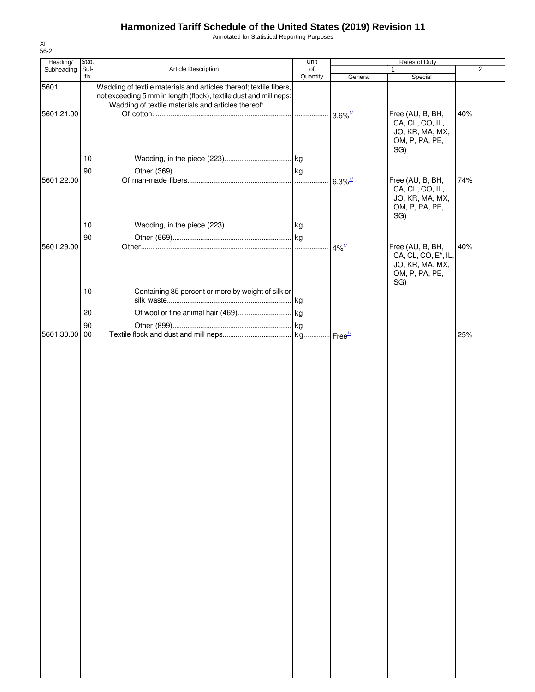Annotated for Statistical Reporting Purposes

| Heading/   | Stat. |                                                                                                                                                                                               | Unit     | Rates of Duty         |                                                                                     |                |  |
|------------|-------|-----------------------------------------------------------------------------------------------------------------------------------------------------------------------------------------------|----------|-----------------------|-------------------------------------------------------------------------------------|----------------|--|
| Subheading | Suf-  | Article Description                                                                                                                                                                           | of       |                       | 1                                                                                   | $\overline{2}$ |  |
| 5601       | fix   | Wadding of textile materials and articles thereof; textile fibers,<br>not exceeding 5 mm in length (flock), textile dust and mill neps:<br>Wadding of textile materials and articles thereof: | Quantity | General               | Special                                                                             |                |  |
| 5601.21.00 | 10    |                                                                                                                                                                                               |          |                       | Free (AU, B, BH,<br>CA, CL, CO, IL,<br>JO, KR, MA, MX,<br>OM, P, PA, PE,<br>SG)     | 40%            |  |
|            |       |                                                                                                                                                                                               |          |                       |                                                                                     |                |  |
|            | 90    |                                                                                                                                                                                               |          |                       |                                                                                     |                |  |
| 5601.22.00 |       |                                                                                                                                                                                               |          | $6.3\%$ <sup>1/</sup> | Free (AU, B, BH,<br>CA, CL, CO, IL,<br>JO, KR, MA, MX,<br>OM, P, PA, PE,<br>SG)     | 74%            |  |
|            | 10    |                                                                                                                                                                                               |          |                       |                                                                                     |                |  |
|            | 90    |                                                                                                                                                                                               |          |                       |                                                                                     |                |  |
| 5601.29.00 | 10    | Containing 85 percent or more by weight of silk or                                                                                                                                            |          | $4\%$ <sup>1/</sup>   | Free (AU, B, BH,<br>CA, CL, CO, E*, IL,<br>JO, KR, MA, MX,<br>OM, P, PA, PE,<br>SG) | 40%            |  |
|            |       |                                                                                                                                                                                               |          |                       |                                                                                     |                |  |
|            | 20    |                                                                                                                                                                                               |          |                       |                                                                                     |                |  |
|            |       |                                                                                                                                                                                               |          |                       |                                                                                     |                |  |
|            | 90    |                                                                                                                                                                                               |          |                       |                                                                                     |                |  |
| 5601.30.00 | 00    |                                                                                                                                                                                               |          |                       |                                                                                     | 25%            |  |
|            |       |                                                                                                                                                                                               |          |                       |                                                                                     |                |  |
|            |       |                                                                                                                                                                                               |          |                       |                                                                                     |                |  |
|            |       |                                                                                                                                                                                               |          |                       |                                                                                     |                |  |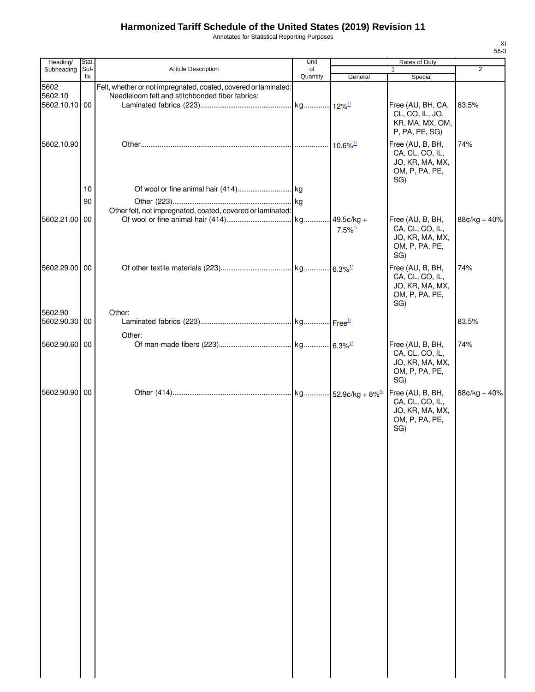Annotated for Statistical Reporting Purposes

| Heading/      | Stat.       |                                                                 | Unit           |                       | Rates of Duty                      |              |
|---------------|-------------|-----------------------------------------------------------------|----------------|-----------------------|------------------------------------|--------------|
| Subheading    | Suf-<br>fix | <b>Article Description</b>                                      | of<br>Quantity | General               | $\mathbf{1}$<br>Special            | 2            |
| 5602          |             | Felt, whether or not impregnated, coated, covered or laminated: |                |                       |                                    |              |
| 5602.10       |             | Needleloom felt and stitchbonded fiber fabrics:                 |                |                       |                                    |              |
| 5602.10.10 00 |             |                                                                 |                |                       | Free (AU, BH, CA,                  | 83.5%        |
|               |             |                                                                 |                |                       | CL, CO, IL, JO,<br>KR, MA, MX, OM, |              |
|               |             |                                                                 |                |                       | P, PA, PE, SG)                     |              |
| 5602.10.90    |             |                                                                 |                |                       | Free (AU, B, BH,                   | 74%          |
|               |             |                                                                 |                |                       | CA, CL, CO, IL,                    |              |
|               |             |                                                                 |                |                       | JO, KR, MA, MX,                    |              |
|               |             |                                                                 |                |                       | OM, P, PA, PE,                     |              |
|               |             |                                                                 |                |                       | SG)                                |              |
|               | 10          |                                                                 |                |                       |                                    |              |
|               | 90          |                                                                 |                |                       |                                    |              |
| 5602.21.00 00 |             | Other felt, not impregnated, coated, covered or laminated:      |                | $49.5$ ¢/kg +         | Free (AU, B, BH,                   | 88¢/kg + 40% |
|               |             |                                                                 |                | $7.5\%$ <sup>1/</sup> | CA, CL, CO, IL,                    |              |
|               |             |                                                                 |                |                       | JO, KR, MA, MX,                    |              |
|               |             |                                                                 |                |                       | OM, P, PA, PE,                     |              |
|               |             |                                                                 |                |                       | SG)                                |              |
| 5602.29.00 00 |             |                                                                 |                |                       | Free (AU, B, BH,                   | 74%          |
|               |             |                                                                 |                |                       | CA, CL, CO, IL,<br>JO, KR, MA, MX, |              |
|               |             |                                                                 |                |                       | OM, P, PA, PE,                     |              |
|               |             |                                                                 |                |                       | SG)                                |              |
| 5602.90       |             | Other:                                                          |                |                       |                                    |              |
| 5602.90.30 00 |             |                                                                 |                |                       |                                    | 83.5%        |
|               |             | Other:                                                          |                |                       |                                    |              |
| 5602.90.60 00 |             |                                                                 |                |                       | Free (AU, B, BH,                   | 74%          |
|               |             |                                                                 |                |                       | CA, CL, CO, IL,<br>JO, KR, MA, MX, |              |
|               |             |                                                                 |                |                       | OM, P, PA, PE,                     |              |
|               |             |                                                                 |                |                       | SG)                                |              |
| 5602.90.90 00 |             |                                                                 |                |                       | Free (AU, B, BH,                   | 88¢/kg + 40% |
|               |             |                                                                 |                |                       | CA, CL, CO, IL,                    |              |
|               |             |                                                                 |                |                       | JO, KR, MA, MX,                    |              |
|               |             |                                                                 |                |                       | OM, P, PA, PE,<br>SG)              |              |
|               |             |                                                                 |                |                       |                                    |              |
|               |             |                                                                 |                |                       |                                    |              |
|               |             |                                                                 |                |                       |                                    |              |
|               |             |                                                                 |                |                       |                                    |              |
|               |             |                                                                 |                |                       |                                    |              |
|               |             |                                                                 |                |                       |                                    |              |
|               |             |                                                                 |                |                       |                                    |              |
|               |             |                                                                 |                |                       |                                    |              |
|               |             |                                                                 |                |                       |                                    |              |
|               |             |                                                                 |                |                       |                                    |              |
|               |             |                                                                 |                |                       |                                    |              |
|               |             |                                                                 |                |                       |                                    |              |
|               |             |                                                                 |                |                       |                                    |              |
|               |             |                                                                 |                |                       |                                    |              |
|               |             |                                                                 |                |                       |                                    |              |
|               |             |                                                                 |                |                       |                                    |              |
|               |             |                                                                 |                |                       |                                    |              |
|               |             |                                                                 |                |                       |                                    |              |
|               |             |                                                                 |                |                       |                                    |              |
|               |             |                                                                 |                |                       |                                    |              |
|               |             |                                                                 |                |                       |                                    |              |
|               |             |                                                                 |                |                       |                                    |              |
|               |             |                                                                 |                |                       |                                    |              |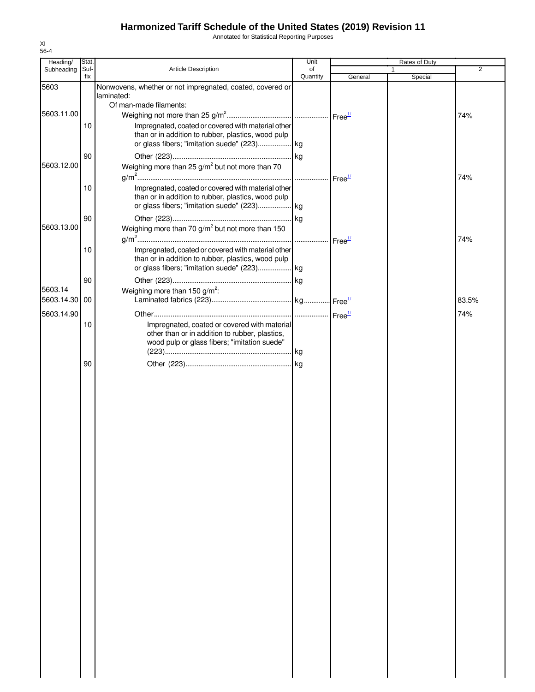Annotated for Statistical Reporting Purposes

| Heading/   | Stat.       |                                                                                                          | Unit           |                    | Rates of Duty |                |
|------------|-------------|----------------------------------------------------------------------------------------------------------|----------------|--------------------|---------------|----------------|
| Subheading | Suf-<br>fix | Article Description                                                                                      | of<br>Quantity | General            | 1.<br>Special | $\overline{2}$ |
| 5603       |             | Nonwovens, whether or not impregnated, coated, covered or                                                |                |                    |               |                |
|            |             | laminated:                                                                                               |                |                    |               |                |
| 5603.11.00 |             | Of man-made filaments:                                                                                   |                |                    |               |                |
|            |             |                                                                                                          |                |                    |               | 74%            |
|            | 10          | Impregnated, coated or covered with material other<br>than or in addition to rubber, plastics, wood pulp |                |                    |               |                |
|            |             |                                                                                                          |                |                    |               |                |
|            | 90          |                                                                                                          |                |                    |               |                |
| 5603.12.00 |             | Weighing more than 25 $g/m^2$ but not more than 70                                                       |                |                    |               |                |
|            |             |                                                                                                          |                | Free <sup>1/</sup> |               | 74%            |
|            | 10          | Impregnated, coated or covered with material other                                                       |                |                    |               |                |
|            |             | than or in addition to rubber, plastics, wood pulp                                                       |                |                    |               |                |
|            |             |                                                                                                          |                |                    |               |                |
|            | 90          |                                                                                                          |                |                    |               |                |
| 5603.13.00 |             | Weighing more than 70 g/m <sup>2</sup> but not more than 150                                             |                |                    |               |                |
|            | 10          | Impregnated, coated or covered with material other                                                       |                |                    |               | 74%            |
|            |             | than or in addition to rubber, plastics, wood pulp                                                       |                |                    |               |                |
|            |             |                                                                                                          |                |                    |               |                |
|            | 90          |                                                                                                          |                |                    |               |                |
| 5603.14    |             | Weighing more than 150 $g/m^2$ :                                                                         |                |                    |               |                |
| 5603.14.30 | 00          |                                                                                                          |                |                    |               | 83.5%          |
| 5603.14.90 |             |                                                                                                          |                |                    |               | 74%            |
|            | 10          | Impregnated, coated or covered with material                                                             |                |                    |               |                |
|            |             | other than or in addition to rubber, plastics,<br>wood pulp or glass fibers; "imitation suede"           |                |                    |               |                |
|            |             |                                                                                                          |                |                    |               |                |
|            | 90          |                                                                                                          |                |                    |               |                |
|            |             |                                                                                                          |                |                    |               |                |
|            |             |                                                                                                          |                |                    |               |                |
|            |             |                                                                                                          |                |                    |               |                |
|            |             |                                                                                                          |                |                    |               |                |
|            |             |                                                                                                          |                |                    |               |                |
|            |             |                                                                                                          |                |                    |               |                |
|            |             |                                                                                                          |                |                    |               |                |
|            |             |                                                                                                          |                |                    |               |                |
|            |             |                                                                                                          |                |                    |               |                |
|            |             |                                                                                                          |                |                    |               |                |
|            |             |                                                                                                          |                |                    |               |                |
|            |             |                                                                                                          |                |                    |               |                |
|            |             |                                                                                                          |                |                    |               |                |
|            |             |                                                                                                          |                |                    |               |                |
|            |             |                                                                                                          |                |                    |               |                |
|            |             |                                                                                                          |                |                    |               |                |
|            |             |                                                                                                          |                |                    |               |                |
|            |             |                                                                                                          |                |                    |               |                |
|            |             |                                                                                                          |                |                    |               |                |
|            |             |                                                                                                          |                |                    |               |                |
|            |             |                                                                                                          |                |                    |               |                |
|            |             |                                                                                                          |                |                    |               |                |
|            |             |                                                                                                          |                |                    |               |                |
|            |             |                                                                                                          |                |                    |               |                |
|            |             |                                                                                                          |                |                    |               |                |
|            |             |                                                                                                          |                |                    |               |                |
|            |             |                                                                                                          |                |                    |               |                |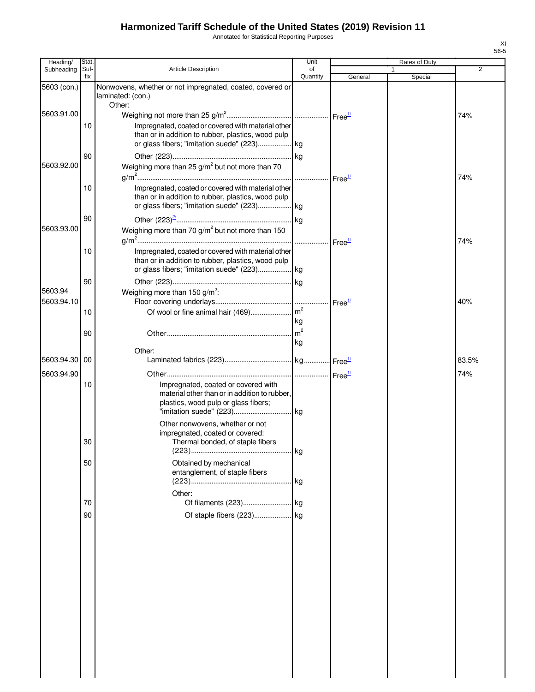Annotated for Statistical Reporting Purposes

| Heading/    | Stat.       |                                                                                                                                                                 | Unit           |         | Rates of Duty |       |
|-------------|-------------|-----------------------------------------------------------------------------------------------------------------------------------------------------------------|----------------|---------|---------------|-------|
| Subheading  | Suf-<br>fix | Article Description                                                                                                                                             | of<br>Quantity | General | 1<br>Special  | 2     |
| 5603 (con.) |             | Nonwovens, whether or not impregnated, coated, covered or<br>laminated: (con.)                                                                                  |                |         |               |       |
| 5603.91.00  |             | Other:                                                                                                                                                          |                |         |               | 74%   |
|             | 10          | Impregnated, coated or covered with material other<br>than or in addition to rubber, plastics, wood pulp                                                        |                |         |               |       |
| 5603.92.00  | 90          | Weighing more than $25 g/m^2$ but not more than 70                                                                                                              |                |         |               | 74%   |
|             | 10          | Impregnated, coated or covered with material other<br>than or in addition to rubber, plastics, wood pulp                                                        |                |         |               |       |
| 5603.93.00  | 90          | Weighing more than 70 $g/m^2$ but not more than 150                                                                                                             |                |         |               | 74%   |
|             | 10          | Impregnated, coated or covered with material other<br>than or in addition to rubber, plastics, wood pulp                                                        |                |         |               |       |
| 5603.94     | 90          | Weighing more than 150 g/m <sup>2</sup> :                                                                                                                       |                |         |               |       |
| 5603.94.10  | 10          |                                                                                                                                                                 |                |         |               | 40%   |
|             | 90          |                                                                                                                                                                 | kg<br>kg       |         |               |       |
| 5603.94.30  | 00          | Other:                                                                                                                                                          |                |         |               | 83.5% |
| 5603.94.90  |             |                                                                                                                                                                 |                |         |               | 74%   |
|             | 10          | Impregnated, coated or covered with<br>material other than or in addition to rubber,<br>plastics, wood pulp or glass fibers;<br>Other nonwovens, whether or not |                |         |               |       |
|             | 30          | impregnated, coated or covered:<br>Thermal bonded, of staple fibers                                                                                             |                |         |               |       |
|             | 50          | Obtained by mechanical<br>entanglement, of staple fibers                                                                                                        |                |         |               |       |
|             |             | Other:                                                                                                                                                          |                |         |               |       |
|             | 70<br>90    |                                                                                                                                                                 |                |         |               |       |
|             |             |                                                                                                                                                                 |                |         |               |       |
|             |             |                                                                                                                                                                 |                |         |               |       |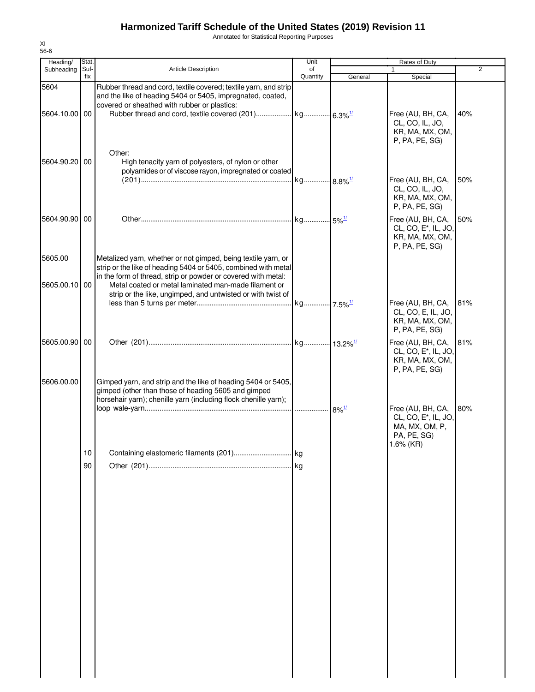Annotated for Statistical Reporting Purposes

| Heading/                 | Stat.       |                                                                                                                                                                                                                                                          | Unit           |         | Rates of Duty                                                                                       |                |
|--------------------------|-------------|----------------------------------------------------------------------------------------------------------------------------------------------------------------------------------------------------------------------------------------------------------|----------------|---------|-----------------------------------------------------------------------------------------------------|----------------|
| Subheading               | Suf-<br>fix | Article Description                                                                                                                                                                                                                                      | of<br>Quantity | General | $\mathbf{1}$<br>Special                                                                             | $\overline{2}$ |
| 5604                     |             | Rubber thread and cord, textile covered; textile yarn, and strip<br>and the like of heading 5404 or 5405, impregnated, coated,<br>covered or sheathed with rubber or plastics:                                                                           |                |         |                                                                                                     |                |
| 5604.10.00 00            |             |                                                                                                                                                                                                                                                          |                |         | Free (AU, BH, CA,<br>CL, CO, IL, JO,<br>KR, MA, MX, OM,<br>P, PA, PE, SG)                           | 40%            |
| 5604.90.20 00            |             | Other:<br>High tenacity yarn of polyesters, of nylon or other<br>polyamides or of viscose rayon, impregnated or coated                                                                                                                                   |                |         | Free (AU, BH, CA,                                                                                   | 50%            |
|                          |             |                                                                                                                                                                                                                                                          |                |         | CL, CO, IL, JO,<br>KR, MA, MX, OM,<br>P, PA, PE, SG)                                                |                |
| 5604.90.90 00            |             |                                                                                                                                                                                                                                                          |                |         | Free (AU, BH, CA,<br>CL, CO, E <sup>*</sup> , IL, JO,<br>KR, MA, MX, OM,<br>P, PA, PE, SG)          | 50%            |
| 5605.00<br>5605.00.10 00 |             | Metalized yarn, whether or not gimped, being textile yarn, or<br>strip or the like of heading 5404 or 5405, combined with metal<br>in the form of thread, strip or powder or covered with metal:<br>Metal coated or metal laminated man-made filament or |                |         |                                                                                                     |                |
|                          |             | strip or the like, ungimped, and untwisted or with twist of                                                                                                                                                                                              |                |         | Free (AU, BH, CA,<br>CL, CO, E, IL, JO,<br>KR, MA, MX, OM,<br>P, PA, PE, SG)                        | 81%            |
| 5605.00.90 00            |             |                                                                                                                                                                                                                                                          |                |         | Free (AU, BH, CA,<br>CL, CO, E <sup>*</sup> , IL, JO,<br>KR, MA, MX, OM,<br>P, PA, PE, SG)          | 81%            |
| 5606.00.00               |             | Gimped yarn, and strip and the like of heading 5404 or 5405,<br>gimped (other than those of heading 5605 and gimped<br>horsehair yarn); chenille yarn (including flock chenille yarn);                                                                   |                |         |                                                                                                     |                |
|                          |             |                                                                                                                                                                                                                                                          |                |         | Free (AU, BH, CA,<br>CL, CO, E <sup>*</sup> , IL, JO,<br>MA, MX, OM, P,<br>PA, PE, SG)<br>1.6% (KR) | 80%            |
|                          | 10          |                                                                                                                                                                                                                                                          |                |         |                                                                                                     |                |
|                          | 90          |                                                                                                                                                                                                                                                          |                |         |                                                                                                     |                |
|                          |             |                                                                                                                                                                                                                                                          |                |         |                                                                                                     |                |
|                          |             |                                                                                                                                                                                                                                                          |                |         |                                                                                                     |                |
|                          |             |                                                                                                                                                                                                                                                          |                |         |                                                                                                     |                |
|                          |             |                                                                                                                                                                                                                                                          |                |         |                                                                                                     |                |
|                          |             |                                                                                                                                                                                                                                                          |                |         |                                                                                                     |                |
|                          |             |                                                                                                                                                                                                                                                          |                |         |                                                                                                     |                |
|                          |             |                                                                                                                                                                                                                                                          |                |         |                                                                                                     |                |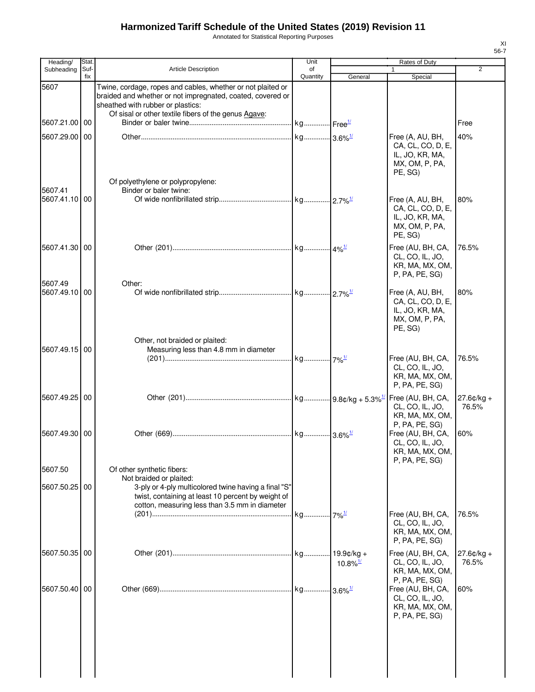Annotated for Statistical Reporting Purposes

| Heading/                 | Stat.       |                                                                                                                                                                                                                        | Unit           |                        | Rates of Duty                                                                               |                       |
|--------------------------|-------------|------------------------------------------------------------------------------------------------------------------------------------------------------------------------------------------------------------------------|----------------|------------------------|---------------------------------------------------------------------------------------------|-----------------------|
| Subheading               | Suf-<br>fix | <b>Article Description</b>                                                                                                                                                                                             | of<br>Quantity | General                | $\mathbf{1}$<br>Special                                                                     | $\overline{2}$        |
| 5607                     |             | Twine, cordage, ropes and cables, whether or not plaited or<br>braided and whether or not impregnated, coated, covered or<br>sheathed with rubber or plastics:<br>Of sisal or other textile fibers of the genus Agave: |                |                        |                                                                                             |                       |
| 5607.21.00               | 00          |                                                                                                                                                                                                                        |                |                        |                                                                                             | Free                  |
| 5607.29.00               | 00          |                                                                                                                                                                                                                        |                |                        | Free (A, AU, BH,<br>CA, CL, CO, D, E,<br>IL, JO, KR, MA,<br>MX, OM, P, PA,<br>PE. SG)       | 40%                   |
| 5607.41<br>5607.41.10 00 |             | Of polyethylene or polypropylene:<br>Binder or baler twine:                                                                                                                                                            |                |                        | Free (A, AU, BH,                                                                            | 80%                   |
|                          |             |                                                                                                                                                                                                                        |                |                        | CA, CL, CO, D, E,<br>IL, JO, KR, MA,<br>MX, OM, P, PA,<br>PE, SG)                           |                       |
| 5607.41.30 00            |             |                                                                                                                                                                                                                        |                |                        | Free (AU, BH, CA,<br>CL, CO, IL, JO,<br>KR, MA, MX, OM,<br>P, PA, PE, SG)                   | 76.5%                 |
| 5607.49<br>5607.49.10 00 |             | Other:                                                                                                                                                                                                                 |                |                        | Free (A, AU, BH,<br>CA, CL, CO, D, E,<br>IL, JO, KR, MA,<br>MX, OM, P, PA,<br>PE, SG)       | 80%                   |
| 5607.49.15 00            |             | Other, not braided or plaited:<br>Measuring less than 4.8 mm in diameter                                                                                                                                               |                |                        | Free (AU, BH, CA,<br>CL, CO, IL, JO,<br>KR, MA, MX, OM,<br>P, PA, PE, SG)                   | 76.5%                 |
| 5607.49.25 00            |             |                                                                                                                                                                                                                        |                |                        | CL, CO, IL, JO,<br>KR, MA, MX, OM,                                                          | $27.6¢/kg +$<br>76.5% |
| 5607.49.30 00            |             |                                                                                                                                                                                                                        |                |                        | P, PA, PE, SG)<br>Free (AU, BH, CA,<br>CL, CO, IL, JO,<br>KR, MA, MX, OM,<br>P, PA, PE, SG) | 60%                   |
| 5607.50                  |             | Of other synthetic fibers:<br>Not braided or plaited:                                                                                                                                                                  |                |                        |                                                                                             |                       |
| 5607.50.25               | 00          | 3-ply or 4-ply multicolored twine having a final "S"<br>twist, containing at least 10 percent by weight of<br>cotton, measuring less than 3.5 mm in diameter                                                           |                |                        |                                                                                             | 76.5%                 |
|                          |             |                                                                                                                                                                                                                        |                |                        | Free (AU, BH, CA,<br>CL, CO, IL, JO,<br>KR, MA, MX, OM,<br>P, PA, PE, SG)                   |                       |
| 5607.50.35 00            |             |                                                                                                                                                                                                                        |                | $10.8\%$ <sup>1/</sup> | Free (AU, BH, CA,<br>CL, CO, IL, JO,<br>KR, MA, MX, OM,<br>P, PA, PE, SG)                   | 27.6¢/kg +<br>76.5%   |
| 5607.50.40 00            |             |                                                                                                                                                                                                                        |                |                        | Free (AU, BH, CA,<br>CL, CO, IL, JO,<br>KR, MA, MX, OM,<br>P, PA, PE, SG)                   | 60%                   |
|                          |             |                                                                                                                                                                                                                        |                |                        |                                                                                             |                       |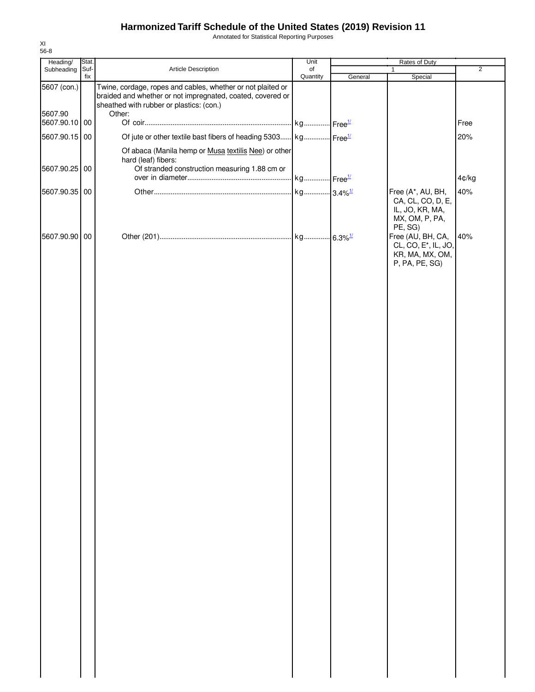Annotated for Statistical Reporting Purposes

| Heading/                 | Stat.       |                                                                                                                                                                       | Unit           | Rates of Duty |                                                                                            |                |
|--------------------------|-------------|-----------------------------------------------------------------------------------------------------------------------------------------------------------------------|----------------|---------------|--------------------------------------------------------------------------------------------|----------------|
| Subheading               | Suf-<br>fix | Article Description                                                                                                                                                   | of<br>Quantity | General       | $\mathbf{1}$<br>Special                                                                    | $\overline{2}$ |
| 5607 (con.)              |             | Twine, cordage, ropes and cables, whether or not plaited or<br>braided and whether or not impregnated, coated, covered or<br>sheathed with rubber or plastics: (con.) |                |               |                                                                                            |                |
| 5607.90<br>5607.90.10 00 |             | Other:                                                                                                                                                                |                |               |                                                                                            | Free           |
| 5607.90.15 00            |             | Of jute or other textile bast fibers of heading 5303 kg Free <sup>1/</sup>                                                                                            |                |               |                                                                                            | 20%            |
|                          |             | Of abaca (Manila hemp or Musa textilis Nee) or other<br>hard (leaf) fibers:                                                                                           |                |               |                                                                                            |                |
| 5607.90.25 00            |             | Of stranded construction measuring 1.88 cm or                                                                                                                         |                |               |                                                                                            |                |
|                          |             |                                                                                                                                                                       |                |               |                                                                                            | 4¢/kg          |
| 5607.90.35 00            |             |                                                                                                                                                                       |                |               | Free (A*, AU, BH,<br>CA, CL, CO, D, E,<br>IL, JO, KR, MA,<br>MX, OM, P, PA,<br>PE, SG)     | 40%            |
| 5607.90.90 00            |             |                                                                                                                                                                       |                |               | Free (AU, BH, CA,<br>CL, CO, E <sup>*</sup> , IL, JO,<br>KR, MA, MX, OM,<br>P, PA, PE, SG) | 40%            |
|                          |             |                                                                                                                                                                       |                |               |                                                                                            |                |
|                          |             |                                                                                                                                                                       |                |               |                                                                                            |                |
|                          |             |                                                                                                                                                                       |                |               |                                                                                            |                |
|                          |             |                                                                                                                                                                       |                |               |                                                                                            |                |
|                          |             |                                                                                                                                                                       |                |               |                                                                                            |                |
|                          |             |                                                                                                                                                                       |                |               |                                                                                            |                |
|                          |             |                                                                                                                                                                       |                |               |                                                                                            |                |
|                          |             |                                                                                                                                                                       |                |               |                                                                                            |                |
|                          |             |                                                                                                                                                                       |                |               |                                                                                            |                |
|                          |             |                                                                                                                                                                       |                |               |                                                                                            |                |
|                          |             |                                                                                                                                                                       |                |               |                                                                                            |                |
|                          |             |                                                                                                                                                                       |                |               |                                                                                            |                |
|                          |             |                                                                                                                                                                       |                |               |                                                                                            |                |
|                          |             |                                                                                                                                                                       |                |               |                                                                                            |                |
|                          |             |                                                                                                                                                                       |                |               |                                                                                            |                |
|                          |             |                                                                                                                                                                       |                |               |                                                                                            |                |
|                          |             |                                                                                                                                                                       |                |               |                                                                                            |                |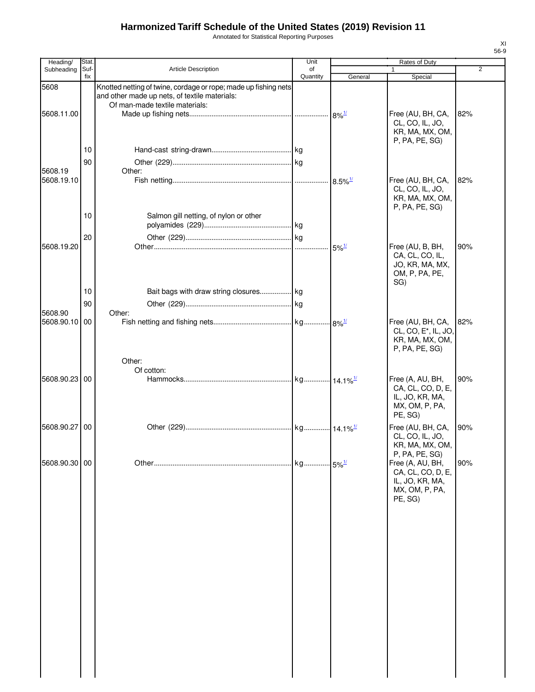Annotated for Statistical Reporting Purposes

| Heading/              | Stat.       |                                                                                                                                                    | Unit           |                       | Rates of Duty                                                                              |                |
|-----------------------|-------------|----------------------------------------------------------------------------------------------------------------------------------------------------|----------------|-----------------------|--------------------------------------------------------------------------------------------|----------------|
| Subheading            | Suf-<br>fix | Article Description                                                                                                                                | of<br>Quantity | General               | $\mathbf{1}$<br>Special                                                                    | $\overline{2}$ |
| 5608                  |             | Knotted netting of twine, cordage or rope; made up fishing nets<br>and other made up nets, of textile materials:<br>Of man-made textile materials: |                |                       |                                                                                            |                |
| 5608.11.00            |             |                                                                                                                                                    |                |                       | Free (AU, BH, CA,<br>CL, CO, IL, JO,<br>KR, MA, MX, OM,<br>P, PA, PE, SG)                  | 82%            |
|                       | 10          |                                                                                                                                                    |                |                       |                                                                                            |                |
|                       | 90          |                                                                                                                                                    |                |                       |                                                                                            |                |
| 5608.19<br>5608.19.10 |             | Other:                                                                                                                                             |                | $8.5\%$ <sup>1/</sup> | Free (AU, BH, CA,                                                                          | 82%            |
|                       |             |                                                                                                                                                    |                |                       | CL, CO, IL, JO,<br>KR, MA, MX, OM,<br>P, PA, PE, SG)                                       |                |
|                       | 10          | Salmon gill netting, of nylon or other                                                                                                             |                |                       |                                                                                            |                |
|                       | 20          |                                                                                                                                                    |                |                       |                                                                                            |                |
| 5608.19.20            |             |                                                                                                                                                    |                | $5\%$ <sup>1/</sup>   | Free (AU, B, BH,                                                                           | 90%            |
|                       |             |                                                                                                                                                    |                |                       | CA, CL, CO, IL,<br>JO, KR, MA, MX,<br>OM, P, PA, PE,<br>SG)                                |                |
|                       | 10          | Bait bags with draw string closures kg                                                                                                             |                |                       |                                                                                            |                |
| 5608.90               | 90          | Other:                                                                                                                                             |                |                       |                                                                                            |                |
| 5608.90.10            | 00          |                                                                                                                                                    |                |                       | Free (AU, BH, CA,<br>CL, CO, E <sup>*</sup> , IL, JO,<br>KR, MA, MX, OM,<br>P, PA, PE, SG) | 82%            |
|                       |             | Other:                                                                                                                                             |                |                       |                                                                                            |                |
| 5608.90.23 00         |             | Of cotton:                                                                                                                                         |                |                       | Free (A, AU, BH,<br>CA, CL, CO, D, E,<br>IL, JO, KR, MA,<br>MX, OM, P, PA,                 | 90%            |
|                       |             |                                                                                                                                                    |                |                       | PE, SG)                                                                                    |                |
| 5608.90.27            | 00          |                                                                                                                                                    |                |                       | Free (AU, BH, CA,<br>CL, CO, IL, JO,<br>KR, MA, MX, OM,<br>P, PA, PE, SG)                  | 90%            |
| 5608.90.30 00         |             |                                                                                                                                                    |                |                       | Free (A, AU, BH,<br>CA, CL, CO, D, E,<br>IL, JO, KR, MA,<br>MX, OM, P, PA,<br>PE, SG)      | 90%            |
|                       |             |                                                                                                                                                    |                |                       |                                                                                            |                |
|                       |             |                                                                                                                                                    |                |                       |                                                                                            |                |
|                       |             |                                                                                                                                                    |                |                       |                                                                                            |                |
|                       |             |                                                                                                                                                    |                |                       |                                                                                            |                |
|                       |             |                                                                                                                                                    |                |                       |                                                                                            |                |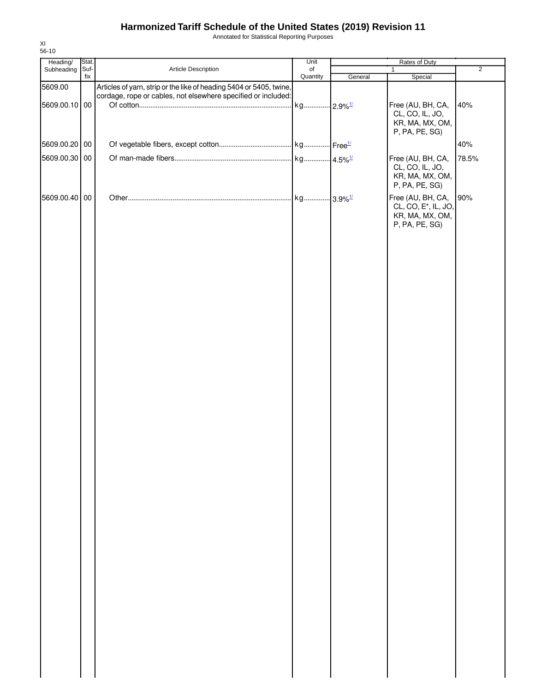Annotated for Statistical Reporting Purposes

| Heading/      | Stat.       |                                                                     | Unit                  | Rates of Duty |                                      |                |
|---------------|-------------|---------------------------------------------------------------------|-----------------------|---------------|--------------------------------------|----------------|
| Subheading    | Suf-<br>fix | Article Description                                                 | of<br>Quantity        | General       | $\mathbf{1}$                         | $\overline{2}$ |
| 5609.00       |             | Articles of yarn, strip or the like of heading 5404 or 5405, twine, |                       |               | Special                              |                |
|               |             | cordage, rope or cables, not elsewhere specified or included:       |                       |               |                                      |                |
| 5609.00.10 00 |             |                                                                     | kg 2.9% <sup>1/</sup> |               | Free (AU, BH, CA,                    | 40%            |
|               |             |                                                                     |                       |               | CL, CO, IL, JO,<br>KR, MA, MX, OM,   |                |
|               |             |                                                                     |                       |               | P, PA, PE, SG)                       |                |
| 5609.00.20 00 |             |                                                                     |                       |               |                                      | 40%            |
|               |             |                                                                     |                       |               |                                      |                |
| 5609.00.30    | $00\,$      |                                                                     |                       |               | Free (AU, BH, CA,<br>CL, CO, IL, JO, | 78.5%          |
|               |             |                                                                     |                       |               | KR, MA, MX, OM,                      |                |
|               |             |                                                                     |                       |               | P, PA, PE, SG)                       |                |
| 5609.00.40 00 |             |                                                                     |                       |               | Free (AU, BH, CA,                    | 90%            |
|               |             |                                                                     |                       |               | CL, CO, E <sup>*</sup> , IL, JO,     |                |
|               |             |                                                                     |                       |               | KR, MA, MX, OM,<br>P, PA, PE, SG)    |                |
|               |             |                                                                     |                       |               |                                      |                |
|               |             |                                                                     |                       |               |                                      |                |
|               |             |                                                                     |                       |               |                                      |                |
|               |             |                                                                     |                       |               |                                      |                |
|               |             |                                                                     |                       |               |                                      |                |
|               |             |                                                                     |                       |               |                                      |                |
|               |             |                                                                     |                       |               |                                      |                |
|               |             |                                                                     |                       |               |                                      |                |
|               |             |                                                                     |                       |               |                                      |                |
|               |             |                                                                     |                       |               |                                      |                |
|               |             |                                                                     |                       |               |                                      |                |
|               |             |                                                                     |                       |               |                                      |                |
|               |             |                                                                     |                       |               |                                      |                |
|               |             |                                                                     |                       |               |                                      |                |
|               |             |                                                                     |                       |               |                                      |                |
|               |             |                                                                     |                       |               |                                      |                |
|               |             |                                                                     |                       |               |                                      |                |
|               |             |                                                                     |                       |               |                                      |                |
|               |             |                                                                     |                       |               |                                      |                |
|               |             |                                                                     |                       |               |                                      |                |
|               |             |                                                                     |                       |               |                                      |                |
|               |             |                                                                     |                       |               |                                      |                |
|               |             |                                                                     |                       |               |                                      |                |
|               |             |                                                                     |                       |               |                                      |                |
|               |             |                                                                     |                       |               |                                      |                |
|               |             |                                                                     |                       |               |                                      |                |
|               |             |                                                                     |                       |               |                                      |                |
|               |             |                                                                     |                       |               |                                      |                |
|               |             |                                                                     |                       |               |                                      |                |
|               |             |                                                                     |                       |               |                                      |                |
|               |             |                                                                     |                       |               |                                      |                |
|               |             |                                                                     |                       |               |                                      |                |
|               |             |                                                                     |                       |               |                                      |                |
|               |             |                                                                     |                       |               |                                      |                |
|               |             |                                                                     |                       |               |                                      |                |
|               |             |                                                                     |                       |               |                                      |                |
|               |             |                                                                     |                       |               |                                      |                |
|               |             |                                                                     |                       |               |                                      |                |
|               |             |                                                                     |                       |               |                                      |                |